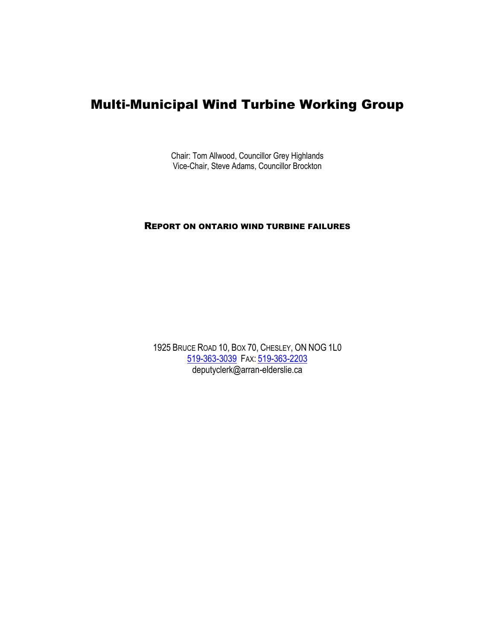# Multi-Municipal Wind Turbine Working Group

Chair: Tom Allwood, Councillor Grey Highlands Vice-Chair, Steve Adams, Councillor Brockton

#### REPORT ON ONTARIO WIND TURBINE FAILURES

1925 BRUCE ROAD 10, BOX 70, CHESLEY, ON NOG 1L0 [519-363-3039](tel:519-363-3039) FAX: [519-363-2203](tel:519-363-2203) deputyclerk@arran-elderslie.ca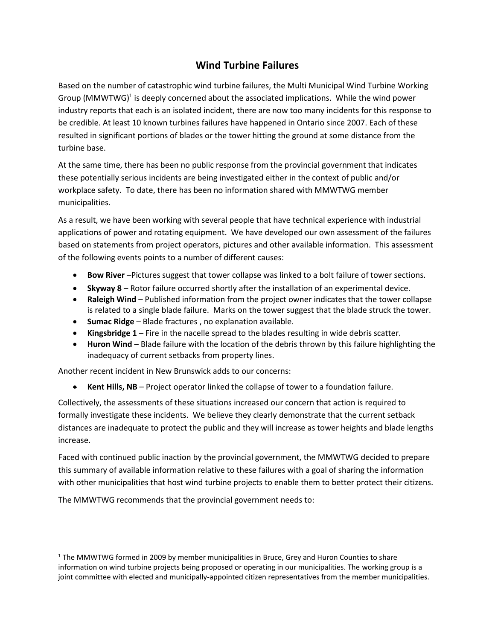## **Wind Turbine Failures**

Based on the number of catastrophic wind turbine failures, the Multi Municipal Wind Turbine Working Group (MMWTWG)<sup>1</sup> is deeply concerned about the associated implications. While the wind power industry reports that each is an isolated incident, there are now too many incidents for this response to be credible. At least 10 known turbines failures have happened in Ontario since 2007. Each of these resulted in significant portions of blades or the tower hitting the ground at some distance from the turbine base.

At the same time, there has been no public response from the provincial government that indicates these potentially serious incidents are being investigated either in the context of public and/or workplace safety. To date, there has been no information shared with MMWTWG member municipalities.

As a result, we have been working with several people that have technical experience with industrial applications of power and rotating equipment. We have developed our own assessment of the failures based on statements from project operators, pictures and other available information. This assessment of the following events points to a number of different causes:

- **Bow River** –Pictures suggest that tower collapse was linked to a bolt failure of tower sections.
- **Skyway 8** Rotor failure occurred shortly after the installation of an experimental device.
- **Raleigh Wind** Published information from the project owner indicates that the tower collapse is related to a single blade failure. Marks on the tower suggest that the blade struck the tower.
- **Sumac Ridge** Blade fractures , no explanation available.
- **Kingsbridge 1** Fire in the nacelle spread to the blades resulting in wide debris scatter.
- **Huron Wind** Blade failure with the location of the debris thrown by this failure highlighting the inadequacy of current setbacks from property lines.

Another recent incident in New Brunswick adds to our concerns:

• **Kent Hills, NB** – Project operator linked the collapse of tower to a foundation failure.

Collectively, the assessments of these situations increased our concern that action is required to formally investigate these incidents. We believe they clearly demonstrate that the current setback distances are inadequate to protect the public and they will increase as tower heights and blade lengths increase.

Faced with continued public inaction by the provincial government, the MMWTWG decided to prepare this summary of available information relative to these failures with a goal of sharing the information with other municipalities that host wind turbine projects to enable them to better protect their citizens.

The MMWTWG recommends that the provincial government needs to:

 $1$  The MMWTWG formed in 2009 by member municipalities in Bruce, Grey and Huron Counties to share information on wind turbine projects being proposed or operating in our municipalities. The working group is a joint committee with elected and municipally-appointed citizen representatives from the member municipalities.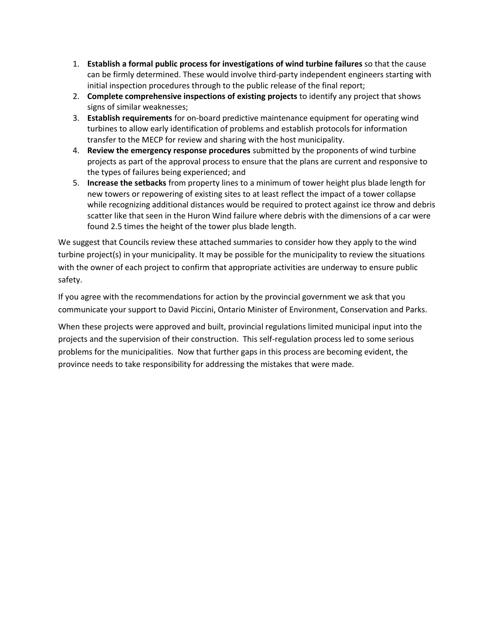- 1. **Establish a formal public process for investigations of wind turbine failures** so that the cause can be firmly determined. These would involve third-party independent engineers starting with initial inspection procedures through to the public release of the final report;
- 2. **Complete comprehensive inspections of existing projects** to identify any project that shows signs of similar weaknesses;
- 3. **Establish requirements** for on-board predictive maintenance equipment for operating wind turbines to allow early identification of problems and establish protocols for information transfer to the MECP for review and sharing with the host municipality.
- 4. **Review the emergency response procedures** submitted by the proponents of wind turbine projects as part of the approval process to ensure that the plans are current and responsive to the types of failures being experienced; and
- 5. **Increase the setbacks** from property lines to a minimum of tower height plus blade length for new towers or repowering of existing sites to at least reflect the impact of a tower collapse while recognizing additional distances would be required to protect against ice throw and debris scatter like that seen in the Huron Wind failure where debris with the dimensions of a car were found 2.5 times the height of the tower plus blade length.

We suggest that Councils review these attached summaries to consider how they apply to the wind turbine project(s) in your municipality. It may be possible for the municipality to review the situations with the owner of each project to confirm that appropriate activities are underway to ensure public safety.

If you agree with the recommendations for action by the provincial government we ask that you communicate your support to David Piccini, Ontario Minister of Environment, Conservation and Parks.

When these projects were approved and built, provincial regulations limited municipal input into the projects and the supervision of their construction. This self-regulation process led to some serious problems for the municipalities. Now that further gaps in this process are becoming evident, the province needs to take responsibility for addressing the mistakes that were made.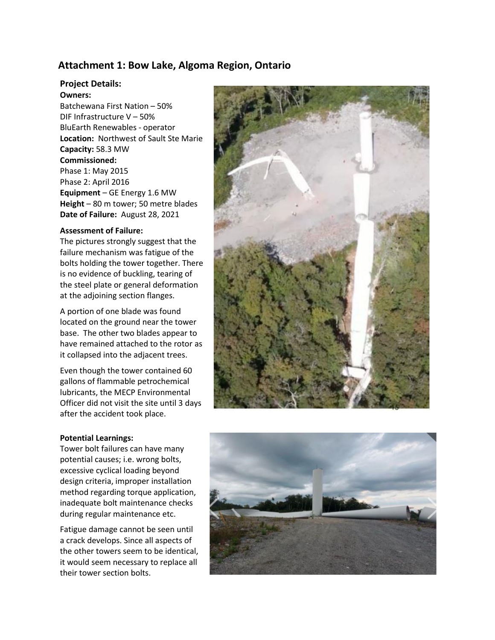## **Attachment 1: Bow Lake, Algoma Region, Ontario**

#### **Project Details:**

#### **Owners:**

Batchewana First Nation – 50% DIF Infrastructure V – 50% BluEarth Renewables - operator **Location:** Northwest of Sault Ste Marie **Capacity:** 58.3 MW **Commissioned:** Phase 1: May 2015 Phase 2: April 2016 **Equipment** – GE Energy 1.6 MW **Height** – 80 m tower; 50 metre blades **Date of Failure:** August 28, 2021

#### **Assessment of Failure:**

The pictures strongly suggest that the failure mechanism was fatigue of the bolts holding the tower together. There is no evidence of buckling, tearing of the steel plate or general deformation at the adjoining section flanges.

A portion of one blade was found located on the ground near the tower base. The other two blades appear to have remained attached to the rotor as it collapsed into the adjacent trees.

Even though the tower contained 60 gallons of flammable petrochemical lubricants, the MECP Environmental Officer did not visit the site until 3 days after the accident took place.

#### **Potential Learnings:**

Tower bolt failures can have many potential causes; i.e. wrong bolts, excessive cyclical loading beyond design criteria, improper installation method regarding torque application, inadequate bolt maintenance checks during regular maintenance etc.

 their tower section bolts.Fatigue damage cannot be seen until a crack develops. Since all aspects of the other towers seem to be identical, it would seem necessary to replace all

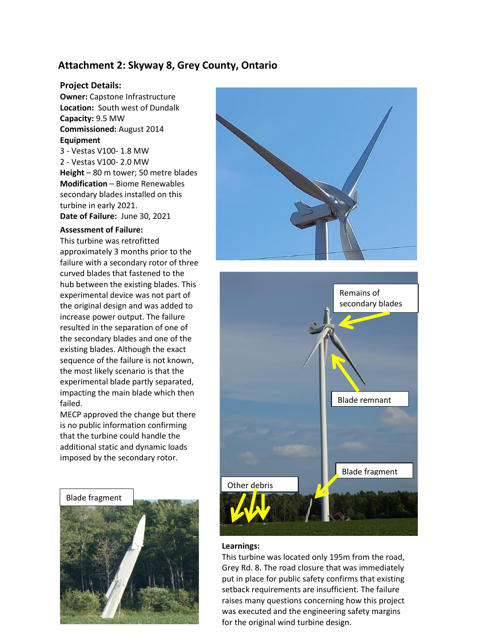## **Attachment 2: Skyway 8, Grey County, Ontario**

#### **Project Details:**

**Owner: Capstone Infrastructure Location:** South west of Dundalk **Capacity:** 9.5 MW **Commissioned:** August 2014 **Equipment** 3 - [Vestas](https://www.thewindpower.net/manufacturer_en_14_vestas.php) [V100-](https://www.thewindpower.net/turbine_en_552_vestas_v100-1800.php) 1.8 MW 2 - [Vestas](https://www.thewindpower.net/manufacturer_en_14_vestas.php) [V100-](https://www.thewindpower.net/turbine_en_552_vestas_v100-1800.php) 2.0 MW **Height** – 80 m tower; 50 metre blades

**Modification** – Biome Renewables secondary blades installed on this turbine in early 2021. **Date of Failure:** June 30, 2021

#### **Assessment of Failure:**

This turbine was retrofitted approximately 3 months prior to the failure with a secondary rotor of three curved blades that fastened to the hub between the existing blades. This experimental device was not part of the original design and was added to increase power output. The failure resulted in the separation of one of the secondary blades and one of the existing blades. Although the exact sequence of the failure is not known, the most likely scenario is that the experimental blade partly separated, impacting the main blade which then failed.

MECP approved the change but there is no public information confirming that the turbine could handle the additional static and dynamic loads imposed by the secondary rotor.







#### **Learnings:**

This turbine was located only 195m from the road, Grey Rd. 8. The road closure that was immediately put in place for public safety confirms that existing setback requirements are insufficient. The failure raises many questions concerning how this project was executed and the engineering safety margins for the original wind turbine design.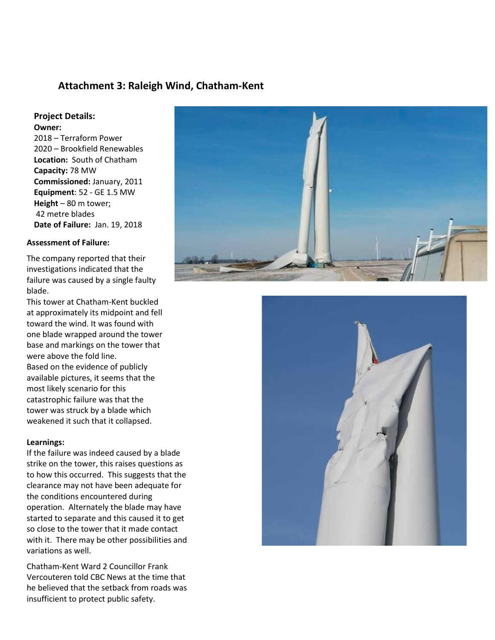## **Attachment 3: Raleigh Wind, Chatham-Kent**

#### **Project Details: Owner:**

2018 – Terraform Power 2020 – Brookfield Renewables **Location:** South of Chatham **Capacity:** 78 MW **Commissioned:** January, 2011 **Equipment**: 52 - GE 1.5 MW **Height** – 80 m tower; 42 metre blades **Date of Failure:** Jan. 19, 2018

#### **Assessment of Failure:**

The company reported that their investigations indicated that the failure was caused by a single faulty blade.

This tower at Chatham-Kent buckled at approximately its midpoint and fell toward the wind. It was found with one blade wrapped around the tower base and markings on the tower that were above the fold line. Based on the evidence of publicly available pictures, it seems that the most likely scenario for this catastrophic failure was that the tower was struck by a blade which weakened it such that it collapsed.

#### **Learnings:**

If the failure was indeed caused by a blade strike on the tower, this raises questions as to how this occurred. This suggests that the clearance may not have been adequate for the conditions encountered during operation. Alternately the blade may have started to separate and this caused it to get so close to the tower that it made contact with it. There may be other possibilities and variations as well.

Chatham-Kent Ward 2 Councillor Frank Vercouteren told CBC News at the time that he believed that the setback from roads was insufficient to protect public safety.



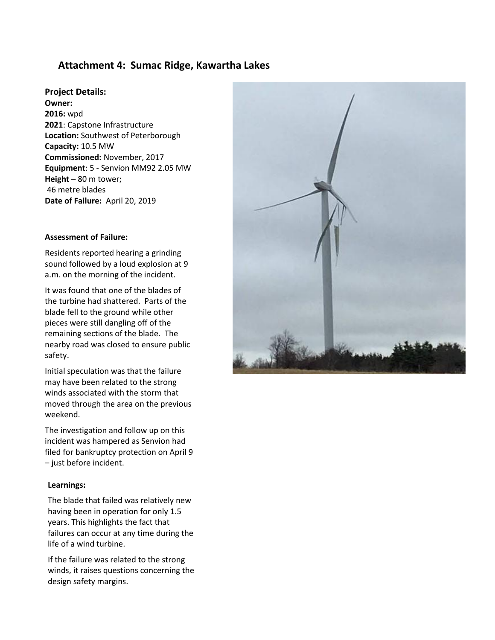## **Attachment 4: Sumac Ridge, Kawartha Lakes**

#### **Project Details:**

**Owner: 2016:** wpd **2021**: Capstone Infrastructure **Location:** Southwest of Peterborough **Capacity:** 10.5 MW **Commissioned:** November, 2017 **Equipment**: 5 - Senvion MM92 2.05 MW **Height** – 80 m tower; 46 metre blades **Date of Failure:** April 20, 2019

#### **Assessment of Failure:**

Residents reported hearing a grinding sound followed by a loud explosion at 9 a.m. on the morning of the incident.

It was found that one of the blades of the turbine had shattered. Parts of the blade fell to the ground while other pieces were still dangling off of the remaining sections of the blade. The nearby road was closed to ensure public safety.

Initial speculation was that the failure may have been related to the strong winds associated with the storm that moved through the area on the previous weekend.

The investigation and follow up on this incident was hampered as Senvion had filed for bankruptcy protection on April 9 – just before incident.

#### **Learnings:**

The blade that failed was relatively new having been in operation for only 1.5 years. This highlights the fact that failures can occur at any time during the life of a wind turbine.

If the failure was related to the strong winds, it raises questions concerning the design safety margins.

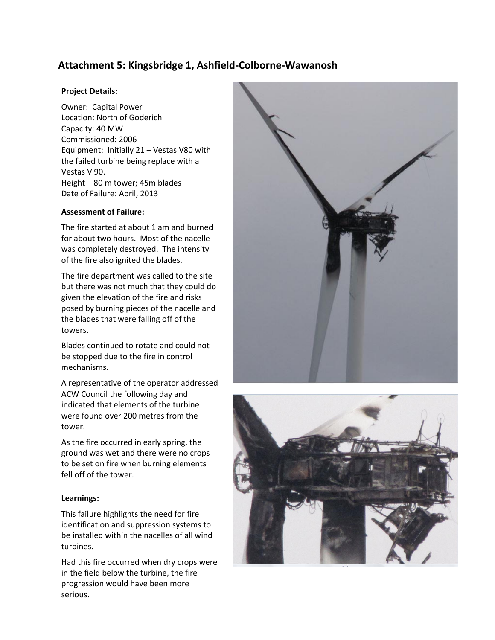## **Attachment 5: Kingsbridge 1, Ashfield-Colborne-Wawanosh**

#### **Project Details:**

Owner: Capital Power Location: North of Goderich Capacity: 40 MW Commissioned: 2006 Equipment: Initially 21 – Vestas V80 with the failed turbine being replace with a Vestas V 90. Height – 80 m tower; 45m blades Date of Failure: April, 2013

#### **Assessment of Failure:**

The fire started at about 1 am and burned for about two hours. Most of the nacelle was completely destroyed. The intensity of the fire also ignited the blades.

The fire department was called to the site but there was not much that they could do given the elevation of the fire and risks posed by burning pieces of the nacelle and the blades that were falling off of the towers.

Blades continued to rotate and could not be stopped due to the fire in control mechanisms.

A representative of the operator addressed ACW Council the following day and indicated that elements of the turbine were found over 200 metres from the tower.

As the fire occurred in early spring, the ground was wet and there were no crops to be set on fire when burning elements fell off of the tower.

### **Learnings:**

This failure highlights the need for fire identification and suppression systems to be installed within the nacelles of all wind turbines.

Had this fire occurred when dry crops were in the field below the turbine, the fire progression would have been more serious.



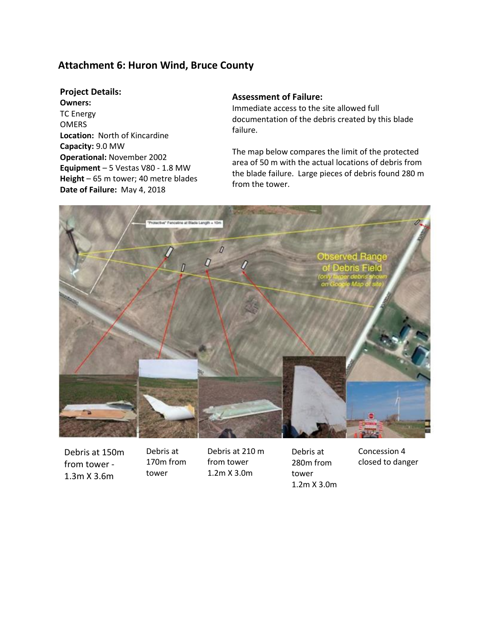## **Attachment 6: Huron Wind, Bruce County**

#### **Project Details:**

**Owners:** TC Energy OMERS **Location:** North of Kincardine **Capacity:** 9.0 MW **Operational:** November 2002 **Equipment** – 5 Vestas V80 - 1.8 MW **Height** – 65 m tower; 40 metre blades **Date of Failure:** May 4, 2018

#### **Assessment of Failure:**

Immediate access to the site allowed full documentation of the debris created by this blade failure.

The map below compares the limit of the protected area of 50 m with the actual locations of debris from the blade failure. Large pieces of debris found 280 m from the tower.



Debris at 150m from tower - 1.3m X 3.6m

Debris at 170m from tower

Debris at 210 m from tower 1.2m X 3.0m

Debris at 280m from tower 1.2m X 3.0m Concession 4 closed to danger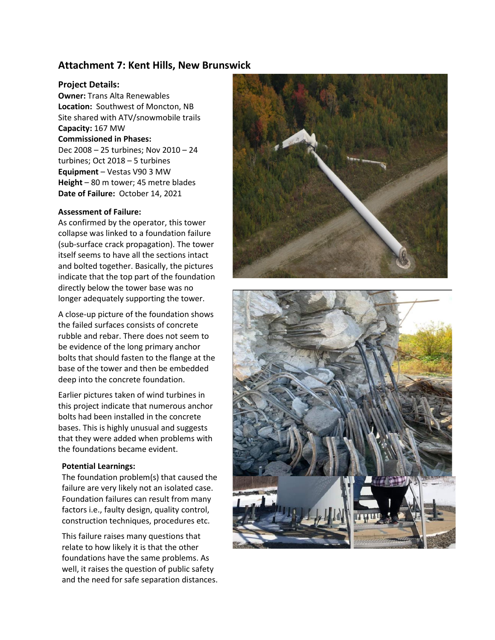## **Attachment 7: Kent Hills, New Brunswick**

#### **Project Details:**

**Owner:** Trans Alta Renewables **Location:** Southwest of Moncton, NB Site shared with ATV/snowmobile trails **Capacity:** 167 MW **Commissioned in Phases:**

## Dec 2008 – 25 turbines; Nov 2010 – 24 turbines; Oct 2018 – 5 turbines **Equipment** – Vestas V90 3 MW **Height** – 80 m tower; 45 metre blades **Date of Failure:** October 14, 2021

#### **Assessment of Failure:**

As confirmed by the operator, this tower collapse was linked to a foundation failure (sub-surface crack propagation). The tower itself seems to have all the sections intact and bolted together. Basically, the pictures indicate that the top part of the foundation directly below the tower base was no longer adequately supporting the tower.

A close-up picture of the foundation shows the failed surfaces consists of concrete rubble and rebar. There does not seem to be evidence of the long primary anchor bolts that should fasten to the flange at the base of the tower and then be embedded deep into the concrete foundation.

Earlier pictures taken of wind turbines in this project indicate that numerous anchor bolts had been installed in the concrete bases. This is highly unusual and suggests that they were added when problems with the foundations became evident.

#### **Potential Learnings:**

The foundation problem(s) that caused the failure are very likely not an isolated case. Foundation failures can result from many factors i.e., faulty design, quality control, construction techniques, procedures etc.

This failure raises many questions that relate to how likely it is that the other foundations have the same problems. As well, it raises the question of public safety and the need for safe separation distances.